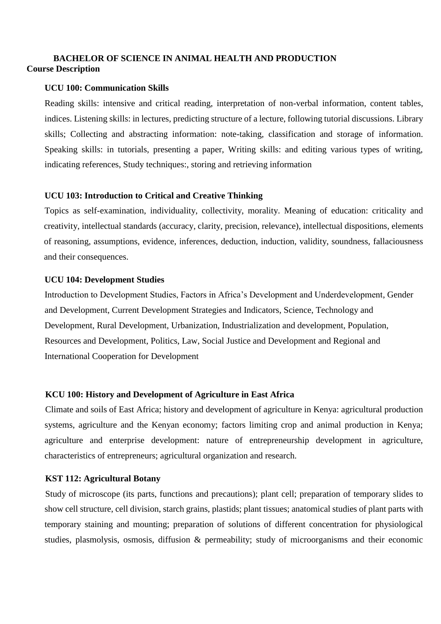# **BACHELOR OF SCIENCE IN ANIMAL HEALTH AND PRODUCTION Course Description**

## **UCU 100: Communication Skills**

Reading skills: intensive and critical reading, interpretation of non-verbal information, content tables, indices. Listening skills: in lectures, predicting structure of a lecture, following tutorial discussions. Library skills; Collecting and abstracting information: note-taking, classification and storage of information. Speaking skills: in tutorials, presenting a paper, Writing skills: and editing various types of writing, indicating references, Study techniques:, storing and retrieving information

## **UCU 103: Introduction to Critical and Creative Thinking**

Topics as self-examination, individuality, collectivity, morality. Meaning of education: criticality and creativity, intellectual standards (accuracy, clarity, precision, relevance), intellectual dispositions, elements of reasoning, assumptions, evidence, inferences, deduction, induction, validity, soundness, fallaciousness and their consequences.

## **UCU 104: Development Studies**

Introduction to Development Studies, Factors in Africa's Development and Underdevelopment, Gender and Development, Current Development Strategies and Indicators, Science, Technology and Development, Rural Development, Urbanization, Industrialization and development, Population, Resources and Development, Politics, Law, Social Justice and Development and Regional and International Cooperation for Development

## **KCU 100: History and Development of Agriculture in East Africa**

Climate and soils of East Africa; history and development of agriculture in Kenya: agricultural production systems, agriculture and the Kenyan economy; factors limiting crop and animal production in Kenya; agriculture and enterprise development: nature of entrepreneurship development in agriculture, characteristics of entrepreneurs; agricultural organization and research.

## **KST 112: Agricultural Botany**

Study of microscope (its parts, functions and precautions); plant cell; preparation of temporary slides to show cell structure, cell division, starch grains, plastids; plant tissues; anatomical studies of plant parts with temporary staining and mounting; preparation of solutions of different concentration for physiological studies, plasmolysis, osmosis, diffusion & permeability; study of microorganisms and their economic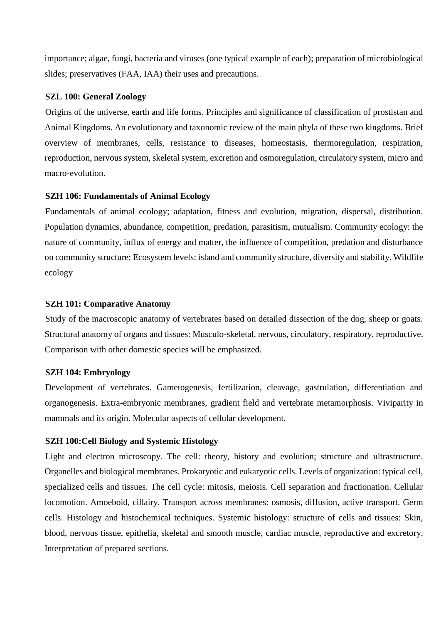importance; algae, fungi, bacteria and viruses (one typical example of each); preparation of microbiological slides; preservatives (FAA, IAA) their uses and precautions.

### **SZL 100: General Zoology**

Origins of the universe, earth and life forms. Principles and significance of classification of prostistan and Animal Kingdoms. An evolutionary and taxonomic review of the main phyla of these two kingdoms. Brief overview of membranes, cells, resistance to diseases, homeostasis, thermoregulation, respiration, reproduction, nervous system, skeletal system, excretion and osmoregulation, circulatory system, micro and macro-evolution.

### **SZH 106: Fundamentals of Animal Ecology**

Fundamentals of animal ecology; adaptation, fitness and evolution, migration, dispersal, distribution. Population dynamics, abundance, competition, predation, parasitism, mutualism. Community ecology: the nature of community, influx of energy and matter, the influence of competition, predation and disturbance on community structure; Ecosystem levels: island and community structure, diversity and stability. Wildlife ecology

### **SZH 101: Comparative Anatomy**

Study of the macroscopic anatomy of vertebrates based on detailed dissection of the dog, sheep or goats. Structural anatomy of organs and tissues: Musculo-skeletal, nervous, circulatory, respiratory, reproductive. Comparison with other domestic species will be emphasized.

#### **SZH 104: Embryology**

Development of vertebrates. Gametogenesis, fertilization, cleavage, gastrulation, differentiation and organogenesis. Extra-embryonic membranes, gradient field and vertebrate metamorphosis. Viviparity in mammals and its origin. Molecular aspects of cellular development.

### **SZH 100:Cell Biology and Systemic Histology**

Light and electron microscopy. The cell: theory, history and evolution; structure and ultrastructure. Organelles and biological membranes. Prokaryotic and eukaryotic cells. Levels of organization: typical cell, specialized cells and tissues. The cell cycle: mitosis, meiosis. Cell separation and fractionation. Cellular locomotion. Amoeboid, cillairy. Transport across membranes: osmosis, diffusion, active transport. Germ cells. Histology and histochemical techniques. Systemic histology: structure of cells and tissues: Skin, blood, nervous tissue, epithelia, skeletal and smooth muscle, cardiac muscle, reproductive and excretory. Interpretation of prepared sections.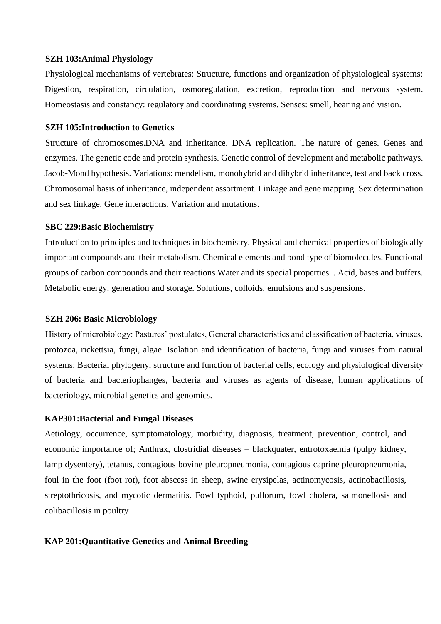### **SZH 103:Animal Physiology**

Physiological mechanisms of vertebrates: Structure, functions and organization of physiological systems: Digestion, respiration, circulation, osmoregulation, excretion, reproduction and nervous system. Homeostasis and constancy: regulatory and coordinating systems. Senses: smell, hearing and vision.

## **SZH 105:Introduction to Genetics**

Structure of chromosomes.DNA and inheritance. DNA replication. The nature of genes. Genes and enzymes. The genetic code and protein synthesis. Genetic control of development and metabolic pathways. Jacob-Mond hypothesis. Variations: mendelism, monohybrid and dihybrid inheritance, test and back cross. Chromosomal basis of inheritance, independent assortment. Linkage and gene mapping. Sex determination and sex linkage. Gene interactions. Variation and mutations.

#### **SBC 229:Basic Biochemistry**

Introduction to principles and techniques in biochemistry. Physical and chemical properties of biologically important compounds and their metabolism. Chemical elements and bond type of biomolecules. Functional groups of carbon compounds and their reactions Water and its special properties. . Acid, bases and buffers. Metabolic energy: generation and storage. Solutions, colloids, emulsions and suspensions.

#### **SZH 206: Basic Microbiology**

History of microbiology: Pastures' postulates, General characteristics and classification of bacteria, viruses, protozoa, rickettsia, fungi, algae. Isolation and identification of bacteria, fungi and viruses from natural systems; Bacterial phylogeny, structure and function of bacterial cells, ecology and physiological diversity of bacteria and bacteriophanges, bacteria and viruses as agents of disease, human applications of bacteriology, microbial genetics and genomics.

### **KAP301:Bacterial and Fungal Diseases**

Aetiology, occurrence, symptomatology, morbidity, diagnosis, treatment, prevention, control, and economic importance of; Anthrax, clostridial diseases – blackquater, entrotoxaemia (pulpy kidney, lamp dysentery), tetanus, contagious bovine pleuropneumonia, contagious caprine pleuropneumonia, foul in the foot (foot rot), foot abscess in sheep, swine erysipelas, actinomycosis, actinobacillosis, streptothricosis, and mycotic dermatitis. Fowl typhoid, pullorum, fowl cholera, salmonellosis and colibacillosis in poultry

### **KAP 201:Quantitative Genetics and Animal Breeding**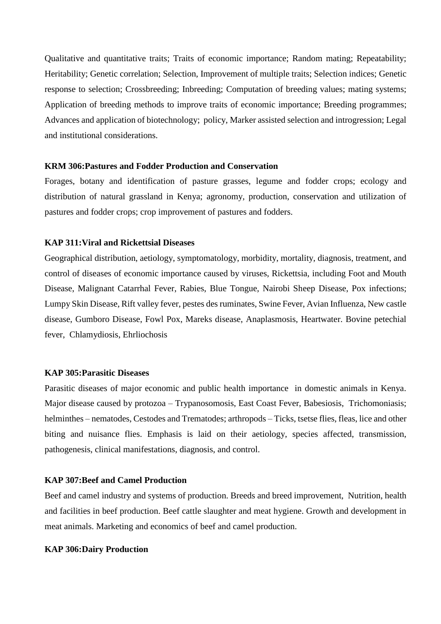Qualitative and quantitative traits; Traits of economic importance; Random mating; Repeatability; Heritability; Genetic correlation; Selection, Improvement of multiple traits; Selection indices; Genetic response to selection; Crossbreeding; Inbreeding; Computation of breeding values; mating systems; Application of breeding methods to improve traits of economic importance; Breeding programmes; Advances and application of biotechnology; policy, Marker assisted selection and introgression; Legal and institutional considerations.

### **KRM 306:Pastures and Fodder Production and Conservation**

Forages, botany and identification of pasture grasses, legume and fodder crops; ecology and distribution of natural grassland in Kenya; agronomy, production, conservation and utilization of pastures and fodder crops; crop improvement of pastures and fodders.

## **KAP 311:Viral and Rickettsial Diseases**

Geographical distribution, aetiology, symptomatology, morbidity, mortality, diagnosis, treatment, and control of diseases of economic importance caused by viruses, Rickettsia, including Foot and Mouth Disease, Malignant Catarrhal Fever, Rabies, Blue Tongue, Nairobi Sheep Disease, Pox infections; Lumpy Skin Disease, Rift valley fever, pestes des ruminates, Swine Fever, Avian Influenza, New castle disease, Gumboro Disease, Fowl Pox, Mareks disease, Anaplasmosis, Heartwater. Bovine petechial fever, Chlamydiosis, Ehrliochosis

### **KAP 305:Parasitic Diseases**

Parasitic diseases of major economic and public health importance in domestic animals in Kenya. Major disease caused by protozoa – Trypanosomosis, East Coast Fever, Babesiosis, Trichomoniasis; helminthes – nematodes, Cestodes and Trematodes; arthropods – Ticks, tsetse flies, fleas, lice and other biting and nuisance flies. Emphasis is laid on their aetiology, species affected, transmission, pathogenesis, clinical manifestations, diagnosis, and control.

#### **KAP 307:Beef and Camel Production**

Beef and camel industry and systems of production. Breeds and breed improvement, Nutrition, health and facilities in beef production. Beef cattle slaughter and meat hygiene. Growth and development in meat animals. Marketing and economics of beef and camel production.

#### **KAP 306:Dairy Production**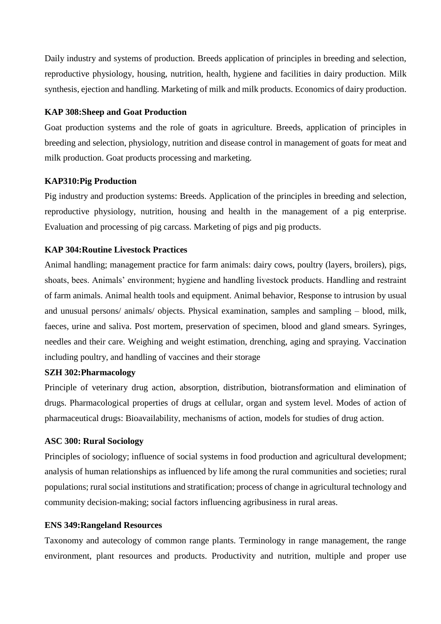Daily industry and systems of production. Breeds application of principles in breeding and selection, reproductive physiology, housing, nutrition, health, hygiene and facilities in dairy production. Milk synthesis, ejection and handling. Marketing of milk and milk products. Economics of dairy production.

## **KAP 308:Sheep and Goat Production**

Goat production systems and the role of goats in agriculture. Breeds, application of principles in breeding and selection, physiology, nutrition and disease control in management of goats for meat and milk production. Goat products processing and marketing.

### **KAP310:Pig Production**

Pig industry and production systems: Breeds. Application of the principles in breeding and selection, reproductive physiology, nutrition, housing and health in the management of a pig enterprise. Evaluation and processing of pig carcass. Marketing of pigs and pig products.

## **KAP 304:Routine Livestock Practices**

Animal handling; management practice for farm animals: dairy cows, poultry (layers, broilers), pigs, shoats, bees. Animals' environment; hygiene and handling livestock products. Handling and restraint of farm animals. Animal health tools and equipment. Animal behavior, Response to intrusion by usual and unusual persons/ animals/ objects. Physical examination, samples and sampling – blood, milk, faeces, urine and saliva. Post mortem, preservation of specimen, blood and gland smears. Syringes, needles and their care. Weighing and weight estimation, drenching, aging and spraying. Vaccination including poultry, and handling of vaccines and their storage

#### **SZH 302:Pharmacology**

Principle of veterinary drug action, absorption, distribution, biotransformation and elimination of drugs. Pharmacological properties of drugs at cellular, organ and system level. Modes of action of pharmaceutical drugs: Bioavailability, mechanisms of action, models for studies of drug action.

### **ASC 300: Rural Sociology**

Principles of sociology; influence of social systems in food production and agricultural development; analysis of human relationships as influenced by life among the rural communities and societies; rural populations; rural social institutions and stratification; process of change in agricultural technology and community decision-making; social factors influencing agribusiness in rural areas.

#### **ENS 349:Rangeland Resources**

Taxonomy and autecology of common range plants. Terminology in range management, the range environment, plant resources and products. Productivity and nutrition, multiple and proper use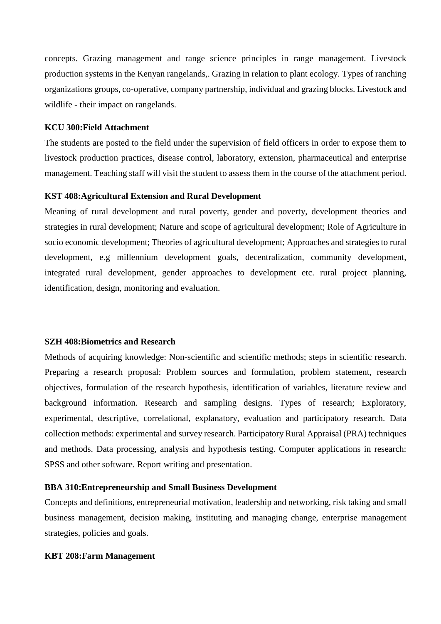concepts. Grazing management and range science principles in range management. Livestock production systems in the Kenyan rangelands,. Grazing in relation to plant ecology. Types of ranching organizations groups, co-operative, company partnership, individual and grazing blocks. Livestock and wildlife - their impact on rangelands.

## **KCU 300:Field Attachment**

The students are posted to the field under the supervision of field officers in order to expose them to livestock production practices, disease control, laboratory, extension, pharmaceutical and enterprise management. Teaching staff will visit the student to assess them in the course of the attachment period.

#### **KST 408:Agricultural Extension and Rural Development**

Meaning of rural development and rural poverty, gender and poverty, development theories and strategies in rural development; Nature and scope of agricultural development; Role of Agriculture in socio economic development; Theories of agricultural development; Approaches and strategies to rural development, e.g millennium development goals, decentralization, community development, integrated rural development, gender approaches to development etc. rural project planning, identification, design, monitoring and evaluation.

#### **SZH 408:Biometrics and Research**

Methods of acquiring knowledge: Non-scientific and scientific methods; steps in scientific research. Preparing a research proposal: Problem sources and formulation, problem statement, research objectives, formulation of the research hypothesis, identification of variables, literature review and background information. Research and sampling designs. Types of research; Exploratory, experimental, descriptive, correlational, explanatory, evaluation and participatory research. Data collection methods: experimental and survey research. Participatory Rural Appraisal (PRA) techniques and methods. Data processing, analysis and hypothesis testing. Computer applications in research: SPSS and other software. Report writing and presentation.

#### **BBA 310:Entrepreneurship and Small Business Development**

Concepts and definitions, entrepreneurial motivation, leadership and networking, risk taking and small business management, decision making, instituting and managing change, enterprise management strategies, policies and goals.

### **KBT 208:Farm Management**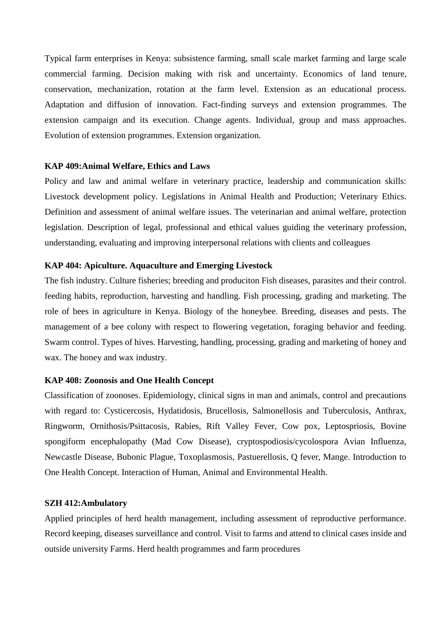Typical farm enterprises in Kenya: subsistence farming, small scale market farming and large scale commercial farming. Decision making with risk and uncertainty. Economics of land tenure, conservation, mechanization, rotation at the farm level. Extension as an educational process. Adaptation and diffusion of innovation. Fact-finding surveys and extension programmes. The extension campaign and its execution. Change agents. Individual, group and mass approaches. Evolution of extension programmes. Extension organization.

### **KAP 409:Animal Welfare, Ethics and Laws**

Policy and law and animal welfare in veterinary practice, leadership and communication skills: Livestock development policy. Legislations in Animal Health and Production; Veterinary Ethics. Definition and assessment of animal welfare issues. The veterinarian and animal welfare, protection legislation. Description of legal, professional and ethical values guiding the veterinary profession, understanding, evaluating and improving interpersonal relations with clients and colleagues

### **KAP 404: Apiculture. Aquaculture and Emerging Livestock**

The fish industry. Culture fisheries; breeding and produciton Fish diseases, parasites and their control. feeding habits, reproduction, harvesting and handling. Fish processing, grading and marketing. The role of bees in agriculture in Kenya. Biology of the honeybee. Breeding, diseases and pests. The management of a bee colony with respect to flowering vegetation, foraging behavior and feeding. Swarm control. Types of hives. Harvesting, handling, processing, grading and marketing of honey and wax. The honey and wax industry.

#### **KAP 408: Zoonosis and One Health Concept**

Classification of zoonoses. Epidemiology, clinical signs in man and animals, control and precautions with regard to: Cysticercosis, Hydatidosis, Brucellosis, Salmonellosis and Tuberculosis, Anthrax, Ringworm, Ornithosis/Psittacosis, Rabies, Rift Valley Fever, Cow pox, Leptospriosis, Bovine spongiform encephalopathy (Mad Cow Disease), cryptospodiosis/cycolospora Avian Influenza, Newcastle Disease, Bubonic Plague, Toxoplasmosis, Pastuerellosis, Q fever, Mange. Introduction to One Health Concept. Interaction of Human, Animal and Environmental Health.

### **SZH 412:Ambulatory**

Applied principles of herd health management, including assessment of reproductive performance. Record keeping, diseases surveillance and control. Visit to farms and attend to clinical cases inside and outside university Farms. Herd health programmes and farm procedures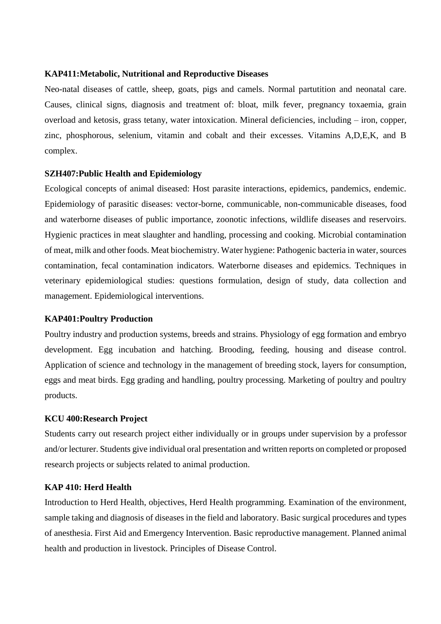### **KAP411:Metabolic, Nutritional and Reproductive Diseases**

Neo-natal diseases of cattle, sheep, goats, pigs and camels. Normal partutition and neonatal care. Causes, clinical signs, diagnosis and treatment of: bloat, milk fever, pregnancy toxaemia, grain overload and ketosis, grass tetany, water intoxication. Mineral deficiencies, including – iron, copper, zinc, phosphorous, selenium, vitamin and cobalt and their excesses. Vitamins A,D,E,K, and B complex.

### **SZH407:Public Health and Epidemiology**

Ecological concepts of animal diseased: Host parasite interactions, epidemics, pandemics, endemic. Epidemiology of parasitic diseases: vector-borne, communicable, non-communicable diseases, food and waterborne diseases of public importance, zoonotic infections, wildlife diseases and reservoirs. Hygienic practices in meat slaughter and handling, processing and cooking. Microbial contamination of meat, milk and other foods. Meat biochemistry. Water hygiene: Pathogenic bacteria in water, sources contamination, fecal contamination indicators. Waterborne diseases and epidemics. Techniques in veterinary epidemiological studies: questions formulation, design of study, data collection and management. Epidemiological interventions.

#### **KAP401:Poultry Production**

Poultry industry and production systems, breeds and strains. Physiology of egg formation and embryo development. Egg incubation and hatching. Brooding, feeding, housing and disease control. Application of science and technology in the management of breeding stock, layers for consumption, eggs and meat birds. Egg grading and handling, poultry processing. Marketing of poultry and poultry products.

#### **KCU 400:Research Project**

Students carry out research project either individually or in groups under supervision by a professor and/or lecturer. Students give individual oral presentation and written reports on completed or proposed research projects or subjects related to animal production.

#### **KAP 410: Herd Health**

Introduction to Herd Health, objectives, Herd Health programming. Examination of the environment, sample taking and diagnosis of diseases in the field and laboratory. Basic surgical procedures and types of anesthesia. First Aid and Emergency Intervention. Basic reproductive management. Planned animal health and production in livestock. Principles of Disease Control.